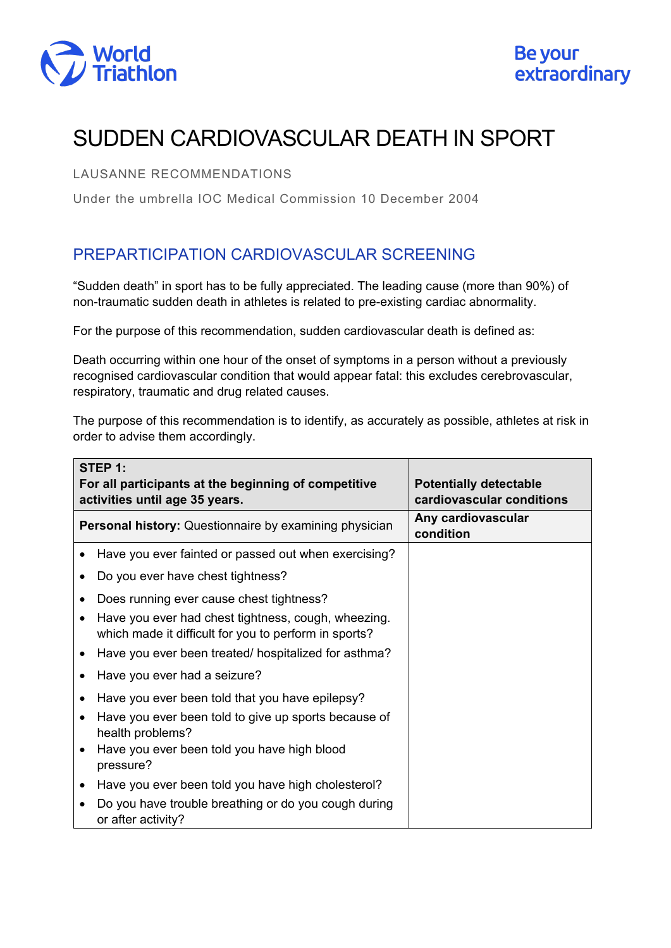

# SUDDEN CARDIOVASCULAR DEATH IN SPORT

### LAUSANNE RECOMMENDATIONS

Under the umbrella IOC Medical Commission 10 December 2004

## PREPARTICIPATION CARDIOVASCULAR SCREENING

"Sudden death" in sport has to be fully appreciated. The leading cause (more than 90%) of non-traumatic sudden death in athletes is related to pre-existing cardiac abnormality.

For the purpose of this recommendation, sudden cardiovascular death is defined as:

Death occurring within one hour of the onset of symptoms in a person without a previously recognised cardiovascular condition that would appear fatal: this excludes cerebrovascular, respiratory, traumatic and drug related causes.

The purpose of this recommendation is to identify, as accurately as possible, athletes at risk in order to advise them accordingly.

| STEP 1:<br>For all participants at the beginning of competitive<br>activities until age 35 years. |                                                                                                              | <b>Potentially detectable</b><br>cardiovascular conditions |
|---------------------------------------------------------------------------------------------------|--------------------------------------------------------------------------------------------------------------|------------------------------------------------------------|
| <b>Personal history:</b> Questionnaire by examining physician                                     |                                                                                                              | Any cardiovascular<br>condition                            |
|                                                                                                   | Have you ever fainted or passed out when exercising?                                                         |                                                            |
|                                                                                                   | Do you ever have chest tightness?                                                                            |                                                            |
|                                                                                                   | Does running ever cause chest tightness?                                                                     |                                                            |
|                                                                                                   | Have you ever had chest tightness, cough, wheezing.<br>which made it difficult for you to perform in sports? |                                                            |
|                                                                                                   | Have you ever been treated/ hospitalized for asthma?                                                         |                                                            |
|                                                                                                   | Have you ever had a seizure?                                                                                 |                                                            |
|                                                                                                   | Have you ever been told that you have epilepsy?                                                              |                                                            |
|                                                                                                   | Have you ever been told to give up sports because of<br>health problems?                                     |                                                            |
|                                                                                                   | Have you ever been told you have high blood<br>pressure?                                                     |                                                            |
|                                                                                                   | Have you ever been told you have high cholesterol?                                                           |                                                            |
|                                                                                                   | Do you have trouble breathing or do you cough during<br>or after activity?                                   |                                                            |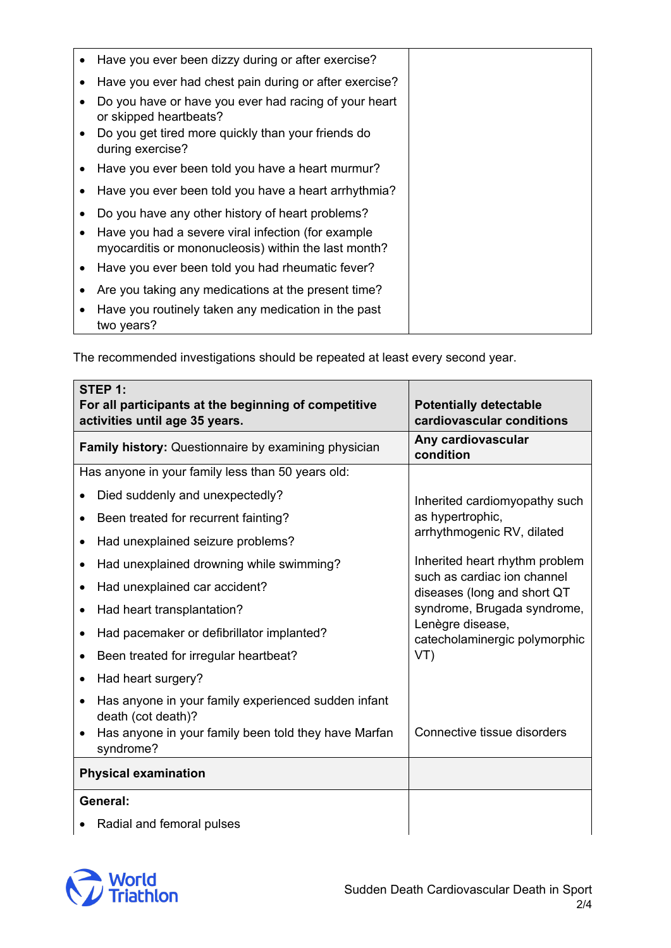| Have you ever been dizzy during or after exercise?                                                         |
|------------------------------------------------------------------------------------------------------------|
| Have you ever had chest pain during or after exercise?                                                     |
| Do you have or have you ever had racing of your heart<br>or skipped heartbeats?                            |
| Do you get tired more quickly than your friends do<br>during exercise?                                     |
| Have you ever been told you have a heart murmur?                                                           |
| Have you ever been told you have a heart arrhythmia?                                                       |
| Do you have any other history of heart problems?                                                           |
| Have you had a severe viral infection (for example<br>myocarditis or mononucleosis) within the last month? |
| Have you ever been told you had rheumatic fever?                                                           |
| Are you taking any medications at the present time?                                                        |
| Have you routinely taken any medication in the past<br>two years?                                          |

The recommended investigations should be repeated at least every second year.

| STEP 1:<br>For all participants at the beginning of competitive<br>activities until age 35 years. | <b>Potentially detectable</b><br>cardiovascular conditions                                                                                                                                                                                                                 |
|---------------------------------------------------------------------------------------------------|----------------------------------------------------------------------------------------------------------------------------------------------------------------------------------------------------------------------------------------------------------------------------|
| Family history: Questionnaire by examining physician                                              | Any cardiovascular<br>condition                                                                                                                                                                                                                                            |
| Has anyone in your family less than 50 years old:                                                 |                                                                                                                                                                                                                                                                            |
| Died suddenly and unexpectedly?<br>٠                                                              | Inherited cardiomyopathy such<br>as hypertrophic,<br>arrhythmogenic RV, dilated<br>Inherited heart rhythm problem<br>such as cardiac ion channel<br>diseases (long and short QT<br>syndrome, Brugada syndrome,<br>Lenègre disease,<br>catecholaminergic polymorphic<br>VT) |
| Been treated for recurrent fainting?<br>٠                                                         |                                                                                                                                                                                                                                                                            |
| Had unexplained seizure problems?<br>$\bullet$                                                    |                                                                                                                                                                                                                                                                            |
| Had unexplained drowning while swimming?                                                          |                                                                                                                                                                                                                                                                            |
| Had unexplained car accident?<br>٠                                                                |                                                                                                                                                                                                                                                                            |
| Had heart transplantation?<br>٠                                                                   |                                                                                                                                                                                                                                                                            |
| Had pacemaker or defibrillator implanted?<br>٠                                                    |                                                                                                                                                                                                                                                                            |
| Been treated for irregular heartbeat?<br>$\bullet$                                                |                                                                                                                                                                                                                                                                            |
| Had heart surgery?<br>$\bullet$                                                                   |                                                                                                                                                                                                                                                                            |
| Has anyone in your family experienced sudden infant<br>$\bullet$<br>death (cot death)?            |                                                                                                                                                                                                                                                                            |
| Has anyone in your family been told they have Marfan<br>syndrome?                                 | Connective tissue disorders                                                                                                                                                                                                                                                |
| <b>Physical examination</b>                                                                       |                                                                                                                                                                                                                                                                            |
| General:                                                                                          |                                                                                                                                                                                                                                                                            |
| Radial and femoral pulses                                                                         |                                                                                                                                                                                                                                                                            |

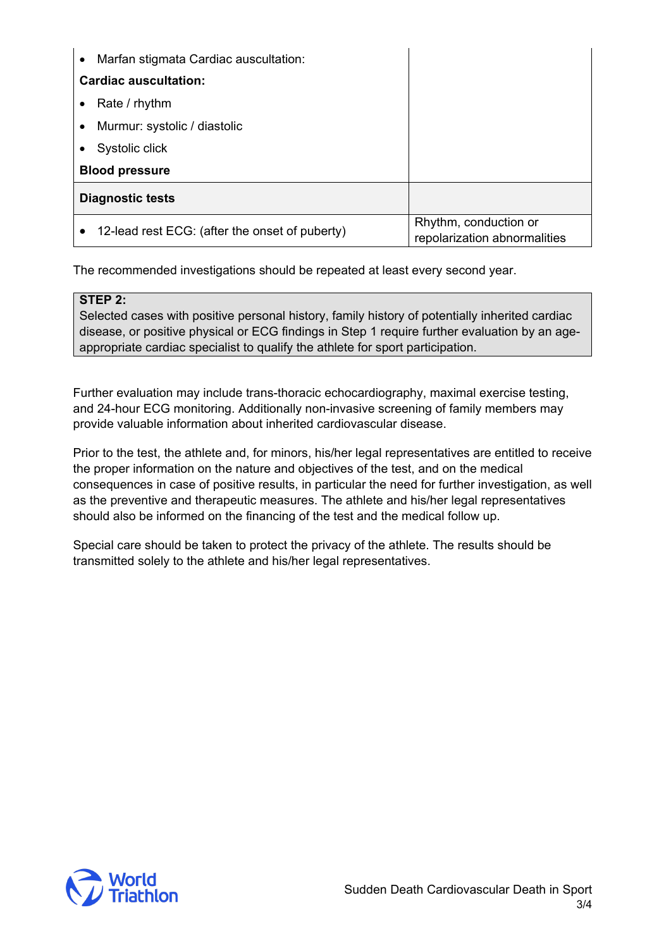| Marfan stigmata Cardiac auscultation:<br>$\bullet$ |                                                       |
|----------------------------------------------------|-------------------------------------------------------|
| <b>Cardiac auscultation:</b>                       |                                                       |
| Rate / rhythm<br>$\bullet$                         |                                                       |
| Murmur: systolic / diastolic<br>٠                  |                                                       |
| Systolic click                                     |                                                       |
| <b>Blood pressure</b>                              |                                                       |
| <b>Diagnostic tests</b>                            |                                                       |
| 12-lead rest ECG: (after the onset of puberty)     | Rhythm, conduction or<br>repolarization abnormalities |

The recommended investigations should be repeated at least every second year.

#### **STEP 2:**

Selected cases with positive personal history, family history of potentially inherited cardiac disease, or positive physical or ECG findings in Step 1 require further evaluation by an ageappropriate cardiac specialist to qualify the athlete for sport participation.

Further evaluation may include trans-thoracic echocardiography, maximal exercise testing, and 24-hour ECG monitoring. Additionally non-invasive screening of family members may provide valuable information about inherited cardiovascular disease.

Prior to the test, the athlete and, for minors, his/her legal representatives are entitled to receive the proper information on the nature and objectives of the test, and on the medical consequences in case of positive results, in particular the need for further investigation, as well as the preventive and therapeutic measures. The athlete and his/her legal representatives should also be informed on the financing of the test and the medical follow up.

Special care should be taken to protect the privacy of the athlete. The results should be transmitted solely to the athlete and his/her legal representatives.